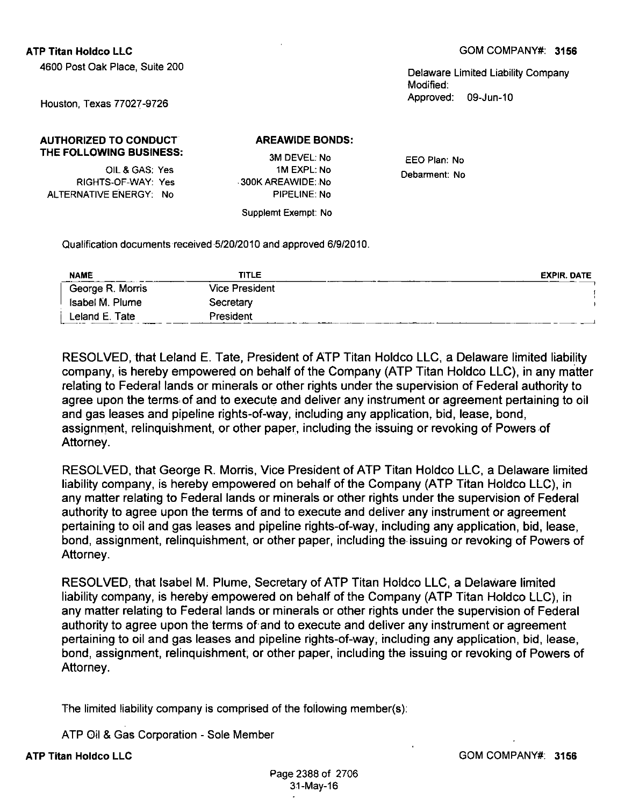4600 Post Oak Place, Suite 200

Delaware Limited Liability Company Modified: Approved: 09-Jun-10

Houston, Texas 77027-9726

## **AUTHORIZED TO CONDUCT THE FOLLOWING BUSINESS:**

OIL&GAS; Yes RIGHTS-OF-WAY: Yes ALTERNATIVE ENERGY: No

3M DEVEL: No 1M EXPL: No 300K AREAWIDE: No PIPELINE: No

Supplemt Exempt: No

**AREAWIDE BONDS:** 

EEO Plan: No Debarment: No

Qualification documents received 5/20/2010 and approved 6/9/2010.

| <b>NAME</b>      | <b>TITLE</b>          | <b>EXPIR. DATE</b> |
|------------------|-----------------------|--------------------|
| George R. Morris | <b>Vice President</b> |                    |
| Isabel M. Plume  | Secretary             |                    |
| Leland E. Tate   | President             |                    |

**RESOLVED, that Leland E. Tate, President of ATP Titan Holdco LLC, a Delaware limited liability company, is hereby empowered on behalf of the Company (ATP Titan Holdco LLC), in any matter relating to Federal lands or minerals or other rights under the supervision of Federal authority to agree upon the terms of and to execute and deliver any instrument or agreement pertaining to oil and gas leases and pipeline rights-of-way, including any application, bid, lease, bond, assignment, relinquishment, or other paper, including the issuing or revoking of Powers of Attorney.** 

**RESOLVED, that George R. Morris, Vice President of ATP Titan Holdco LLC, a Delaware limited liability company, is hereby empowered on behalf of the Gompany (ATP Titan Holdco LLC), in any matter relating to Federal lands or minerals or other rights under the supervision of Federal authority to agree upon the terms of and to execute and deliver any instrument or agreement pertaining to oil and gas leases and pipeline rights-of-way, including any application, bid, lease, bond, assignment, relinquishment, or other paper, including the issuing or revoking of Powers of Attorney.** 

**RESOLVED, that Isabel M. Plume, Secretary of ATP Titan Holdco LLC, a Delaware limited liability company, is hereby empowered on behalf ofthe Company (ATP Titan Holdco LLC), in any matter relating to Federal lands or minerals or other rights under the supervision of Federal authority to agree upon the terms of and to execute and deliver any instrument or agreement pertaining to oil and gas leases and pipeline rights-of-way, including any application, bid, lease, bond, assignment, relinquishment; or other paper, including the issuing or revoking of Powers of Attorney.** 

The limited liability company is comprised of the following member(s):

**ATP Oil & Gas Corporation - Sole Member** 

**ATP Titan Holdco LLC**